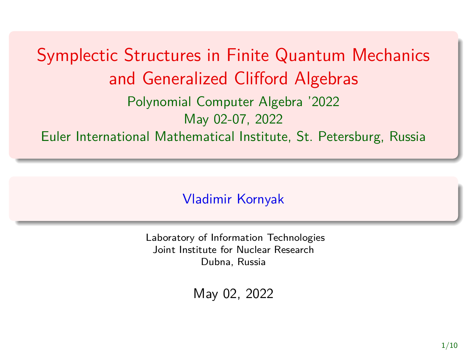Symplectic Structures in Finite Quantum Mechanics and Generalized Clifford Algebras Polynomial Computer Algebra '2022 May 02-07, 2022 Euler International Mathematical Institute, St. Petersburg, Russia

Vladimir Kornyak

Laboratory of Information Technologies Joint Institute for Nuclear Research Dubna, Russia

May 02, 2022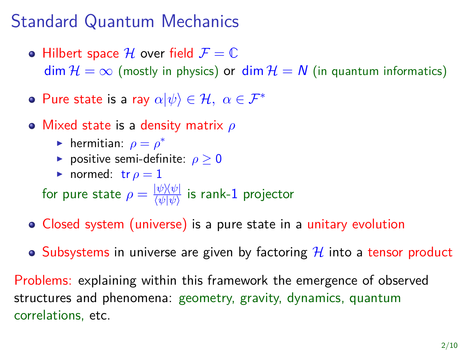# Standard Quantum Mechanics

- Hilbert space  $\mathcal H$  over field  $\mathcal F=\mathbb C$  $\dim \mathcal{H} = \infty$  (mostly in physics) or  $\dim \mathcal{H} = N$  (in quantum informatics)
- **•** Pure state is a ray  $\alpha|\psi\rangle \in \mathcal{H}$ ,  $\alpha \in \mathcal{F}^*$
- Mixed state is a density matrix *ρ*
	- **►** hermitian:  $ρ = ρ^*$
	- ▶ positive semi-definite: *ρ* ≥ 0
	- **•** normed:  $tr \rho = 1$

for pure state  $\rho = \frac{|\psi \rangle \langle \psi |}{\langle \psi | \psi \rangle}$ ⟨*ψ*|*ψ*⟩ is rank-1 projector

- Closed system (universe) is a pure state in a unitary evolution
- Subsystems in universe are given by factoring  $\mathcal{H}$  into a tensor product

Problems: explaining within this framework the emergence of observed structures and phenomena: geometry, gravity, dynamics, quantum correlations, etc.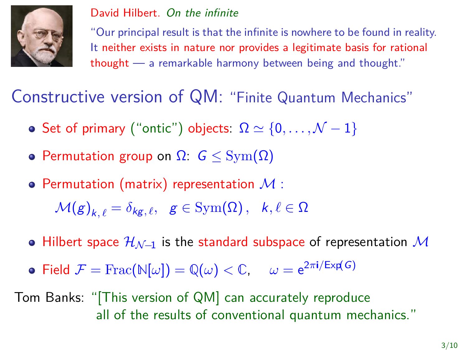

#### David Hilbert. On the infinite

"Our principal result is that the infinite is nowhere to be found in reality. It neither exists in nature nor provides a legitimate basis for rational thought — a remarkable harmony between being and thought."

Constructive version of QM: "Finite Quantum Mechanics"

- Set of primary ("ontic") objects:  $Ω ≈ {0, ..., N 1}$
- Permutation group on  $\Omega: G \leq \text{Sym}(\Omega)$
- Permutation (matrix) representation  $M$  :

 $\mathcal{M}(\mathcal{g})_{k,\,\ell} = \delta_{\mathcal{kg},\,\ell}, \;\;\mathcal{g} \in \text{Sym}(\Omega)\,,\;\;\;k,\ell \in \Omega$ 

- Hilbert space  $\mathcal{H}_{\mathcal{N}-1}$  is the standard subspace of representation M
- Field  $\mathcal{F} = \text{Frac}(\mathbb{N}[\omega]) = \mathbb{Q}(\omega) < \mathbb{C}$ ,  $\omega = e^{2\pi i / \text{Exp}(G)}$

Tom Banks: "[This version of QM] can accurately reproduce all of the results of conventional quantum mechanics."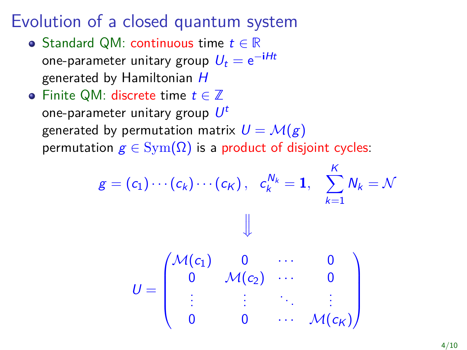## Evolution of a closed quantum system

- Standard QM: continuous time  $t \in \mathbb{R}$ one-parameter unitary group  $U_t = e^{-iHt}$ generated by Hamiltonian H
- Finite QM: discrete time  $t \in \mathbb{Z}$ one-parameter unitary group  $\,U^t\,$ generated by permutation matrix  $U = \mathcal{M}(g)$ permutation  $g \in \text{Sym}(\Omega)$  is a product of disjoint cycles:

$$
g = (c_1) \cdots (c_k) \cdots (c_K), \quad c_k^{N_k} = 1, \quad \sum_{k=1}^K N_k = \mathcal{N}
$$
  

$$
\downarrow \qquad \qquad \downarrow \qquad \qquad \downarrow
$$
  

$$
U = \begin{pmatrix} \mathcal{M}(c_1) & 0 & \cdots & 0 \\ 0 & \mathcal{M}(c_2) & \cdots & 0 \\ \vdots & \vdots & \ddots & \vdots \\ 0 & 0 & \cdots & \mathcal{M}(c_K) \end{pmatrix}
$$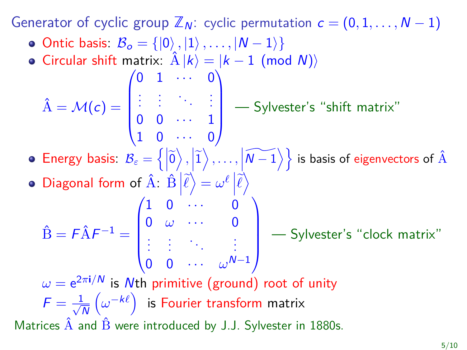Generator of cyclic group  $\mathbb{Z}_N$ : cyclic permutation  $c = (0, 1, \ldots, N - 1)$ 

- $\bullet$  Ontic basis:  $\mathcal{B}_o = \{ |0\rangle, |1\rangle, \ldots, |N-1\rangle \}$
- Circular shift matrix:  $\hat{A} |k\rangle = |k-1 \pmod{N}\rangle$ 
	- $\hat{\mathrm{A}}=\mathcal{M}(\mathbf{\mathsf{c}})=$  $\sqrt{ }$  $\overline{\phantom{a}}$  $0 \quad 1 \quad \cdots \quad 0$ . . . . . . . . . . . .  $0 \quad 0 \quad \cdots \quad 1$  $\setminus$  $\Bigg|$  — Sylvester's "shift matrix"
- $1 \quad 0 \quad \cdots \quad 0$  $\textsf{Energy basis: } \mathcal{B}_\varepsilon = \left\{\left|\widetilde{\textsf{0}}\right\rangle, \left|\widetilde{\textsf{1}}\right\rangle, \dots, \left|\widetilde{\textsf{N-1}}\right\rangle\right\}$  is basis of eigenvectors of  $\hat{\textsf{A}}$

 $\setminus$ 

 $\textsf{Diagonal form of } \hat{\text{A}}\text{: } \hat{\text{B}}\left|\widetilde{\ell}\right\rangle = \omega^{\ell}\left|\widetilde{\ell}\right\rangle$  $\begin{bmatrix} 1 & 1 \\ 1 & 1 \end{bmatrix}$  $\sqrt{ }$ 

 $\overline{\phantom{a}}$ 

 $\hat{\mathbf{B}} = \mathbf{F} \hat{\mathbf{A}} \mathbf{F}^{-1} =$ 

— Sylvester's "clock matrix"

0 0 · · · *ω* N−1  $\omega = e^{2\pi i/N}$  is Nth primitive (ground) root of unity  $F = \frac{1}{\sqrt{2}}$ N *(ω*<sup>-*kℓ*</sup>) is Fourier transform matrix Matrices  $\hat{A}$  and  $\hat{B}$  were introduced by J.J. Sylvester in 1880s.

 $1 \quad 0 \quad \cdots \quad 0$ 0 *ω* · · · 0 . . . . . . . . . . . .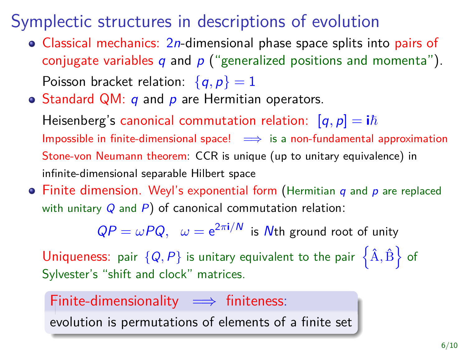# Symplectic structures in descriptions of evolution

- Classical mechanics:  $2n$ -dimensional phase space splits into pairs of conjugate variables q and  $p$  ("generalized positions and momenta"). Poisson bracket relation:  $\{q, p\} = 1$
- $\bullet$  Standard QM:  $q$  and  $p$  are Hermitian operators.

Heisenberg's canonical commutation relation:  $[q, p] = i\hbar$ Impossible in finite-dimensional space!  $\implies$  is a non-fundamental approximation Stone-von Neumann theorem: CCR is unique (up to unitary equivalence) in infinite-dimensional separable Hilbert space

 $\bullet$  Finite dimension. Weyl's exponential form (Hermitian  $q$  and  $p$  are replaced with unitary  $Q$  and  $P$ ) of canonical commutation relation:

 $QP = \omega PQ$ ,  $\omega = e^{2\pi i/N}$  is Nth ground root of unity

Uniqueness: pair  $\{Q, P\}$  is unitary equivalent to the pair  $\left\{\hat{\mathrm{A}}, \hat{\mathrm{B}}\right\}$  of Sylvester's "shift and clock" matrices.

Finite-dimensionality  $\implies$  finiteness: evolution is permutations of elements of a finite set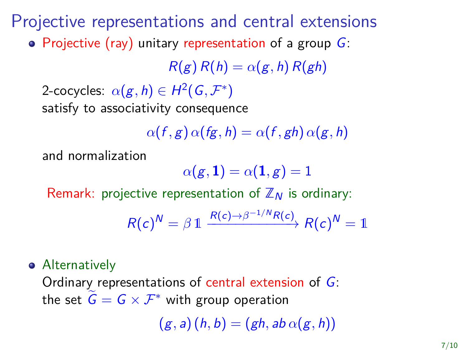Projective representations and central extensions

• Projective (ray) unitary representation of a group  $G$ :

 $R(g) R(h) = \alpha(g, h) R(gh)$ 

2-cocycles:  $\alpha(g,h)\in H^2(\mathsf{G},\mathcal{F}^*)$ satisfy to associativity consequence

$$
\alpha(f,g)\,\alpha(fg,h)=\alpha(f,gh)\,\alpha(g,h)
$$

and normalization

 $\alpha(\mathbf{g}, \mathbf{1}) = \alpha(\mathbf{1}, \mathbf{g}) = 1$ 

Remark: projective representation of  $\mathbb{Z}_N$  is ordinary:

$$
R(c)^N = \beta 1 \xrightarrow{R(c) \to \beta^{-1/N} R(c)} R(c)^N = 1
$$

### **•** Alternatively

Ordinary representations of central extension of  $G$ : the set  $G = G \times \mathcal{F}^*$  with group operation

 $(g, a)(h, b) = (gh, ab \alpha(g, h))$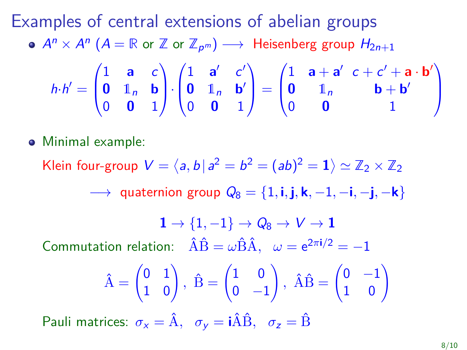Examples of central extensions of abelian groups  $\mathcal{A}^n\times \mathcal{A}^n$   $(\mathcal{A}=\mathbb{R}$  or  $\mathbb{Z}$  or  $\mathbb{Z}_{p^m})\longrightarrow\;$  Heisenberg group  $H_{2n+1}$  $h \cdot h' =$  $\sqrt{ }$  $\overline{ }$ 1 **a** c  $0$  1<sub>n</sub> b 0 **0** 1 <sup>1</sup>  $\vert \cdot \vert$  $\sqrt{ }$  $\overline{\phantom{a}}$ 1  $a'$   $c'$  $0$  1<sub>n</sub> **b**<sup> $\prime$ </sup> 0 **0** 1 <sup>1</sup>  $\Big\} =$  $\sqrt{ }$  $\overline{ }$ 1  $\mathbf{a} + \mathbf{a}' \quad \mathbf{c} + \mathbf{c}' + \mathbf{a} \cdot \mathbf{b}'$ **0**  $\mathbf{1}_n$  **b** + **b**<sup> $\prime$ </sup> 0 **0** 1 Y  $\overline{\phantom{a}}$ 

Minimal example:

Klein four-group  $V=\langle a,b\,|\,a^2=b^2=(ab)^2={\bf 1}\rangle\simeq{\mathbb Z}_2\times{\mathbb Z}_2$ −→ quaternion group Q<sup>8</sup> = {1*,* **i***,* **j***,* **k***,* −1*,* −**i***,* −**j***,* −**k**}

 $1 \rightarrow \{1,-1\} \rightarrow Q_8 \rightarrow V \rightarrow 1$ 

Commutation relation:  $\hat{A}\hat{B} = \omega \hat{B}\hat{A}$ ,  $\omega = e^{2\pi i/2} = -1$ 

$$
\hat{A} = \begin{pmatrix} 0 & 1 \\ 1 & 0 \end{pmatrix}, \ \hat{B} = \begin{pmatrix} 1 & 0 \\ 0 & -1 \end{pmatrix}, \ \hat{A}\hat{B} = \begin{pmatrix} 0 & -1 \\ 1 & 0 \end{pmatrix}
$$

Pauli matrices:  $\sigma_x = \hat{A}$ ,  $\sigma_y = i\hat{A}\hat{B}$ ,  $\sigma_z = \hat{B}$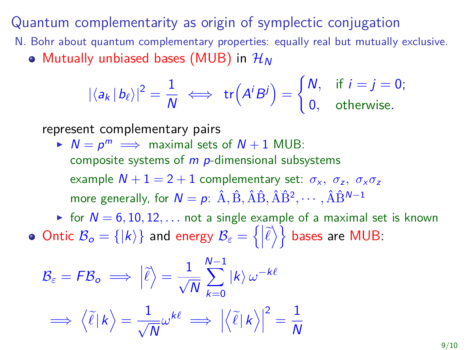Quantum complementarity as origin of symplectic conjugation

- N. Bohr about quantum complementary properties: equally real but mutually exclusive.
	- Mutually unbiased bases (MUB) in  $\mathcal{H}_{\mathcal{N}}$

$$
|\langle a_k | b_\ell \rangle|^2 = \frac{1}{N} \iff \text{tr}\Big(A^i B^j\Big) = \begin{cases} N, & \text{if } i = j = 0; \\ 0, & \text{otherwise.} \end{cases}
$$

represent complementary pairs

▶  $N = p^m$   $\implies$  maximal sets of  $N + 1$  MUB: composite systems of  $m$   $p$ -dimensional subsystems example  $N + 1 = 2 + 1$  complementary set:  $\sigma_x$ ,  $\sigma_z$ ,  $\sigma_x \sigma_z$ more generally, for  $N = p$ :  $\hat{\rm A}$ ,  $\hat{\rm B}$ ,  $\hat{\rm A}\hat{\rm B}$ ,  $\hat{\rm A}\hat{\rm B}^2, \cdots, \hat{\rm A}\hat{\rm B}^{N-1}$ 

▶ for  $N = 6, 10, 12, \ldots$  not a single example of a maximal set is known Ontic  $B_o = \{ |k\rangle \}$  and energy  $B_\varepsilon = \left\{ \left| \widetilde{\ell} \right\rangle \right\}$  bases are MUB:

$$
\mathcal{B}_{\varepsilon} = \mathcal{FB}_{o} \implies \left| \tilde{\ell} \right\rangle = \frac{1}{\sqrt{N}} \sum_{k=0}^{N-1} \left| k \right\rangle \omega^{-k\ell}
$$

$$
\implies \left\langle \tilde{\ell} \right| k \right\rangle = \frac{1}{\sqrt{N}} \omega^{k\ell} \implies \left| \left\langle \tilde{\ell} \right| k \right\rangle \right|^{2} = \frac{1}{N}
$$